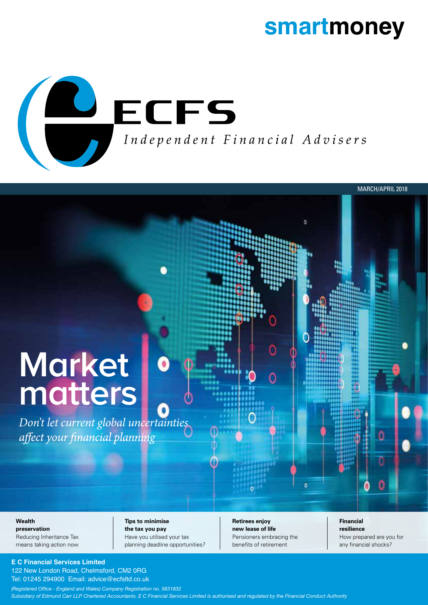### **smartmoney**

MARCH/APRIL 2018



# **Market matters**

*Don't let current global uncertainties*  affect your financial planning

#### **Wealth**

**preservation** Reducing Inheritance Tax means taking action now **Tips to minimise the tax you pay** Have you utilised your tax planning deadline opportunities? **Retirees enjoy new lease of life** Pensioners embracing the benefits of retirement

**Financial resilience** How prepared are you for any financial shocks?

#### **E C Financial Services Limited**

122 New London Road, Chelmsford, CM2 0RG Tel: 01245 294900 Email: advice@ecfsltd.co.uk

*(Registered Office - England and Wales) Company Registration no. 5631832 Subsidiary of Edmund Carr LLP Chartered Accountants. E C Financial Services Limited is authorised and regulated by the Financial Conduct Authority*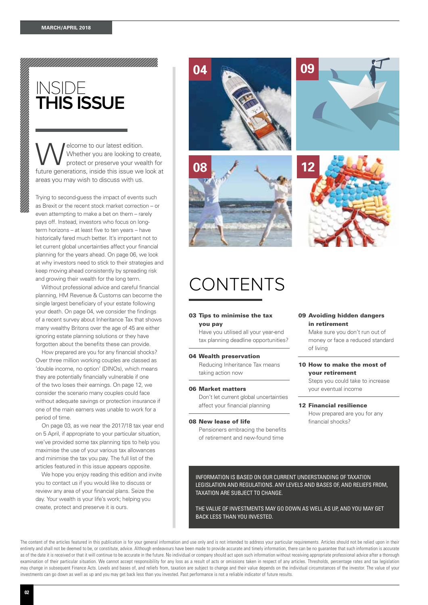### INSIDE **THIS ISSUE**

Welcome to our latest edition.<br>Whether you are looking to control of the protect or preserve your weak Whether you are looking to create, protect or preserve your wealth for future generations, inside this issue we look at areas you may wish to discuss with us.

Trying to second-guess the impact of events such as Brexit or the recent stock market correction – or even attempting to make a bet on them – rarely pays off. Instead, investors who focus on longterm horizons – at least five to ten years – have historically fared much better. It's important not to let current global uncertainties affect your financial planning for the years ahead. On page 06, we look at why investors need to stick to their strategies and keep moving ahead consistently by spreading risk and growing their wealth for the long term.

Without professional advice and careful financial planning, HM Revenue & Customs can become the single largest beneficiary of your estate following your death. On page 04, we consider the findings of a recent survey about Inheritance Tax that shows many wealthy Britons over the age of 45 are either ignoring estate planning solutions or they have forgotten about the benefits these can provide.

How prepared are you for any financial shocks? Over three million working couples are classed as 'double income, no option' (DINOs), which means they are potentially financially vulnerable if one of the two loses their earnings. On page 12, we consider the scenario many couples could face without adequate savings or protection insurance if one of the main earners was unable to work for a period of time.

On page 03, as we near the 2017/18 tax year end on 5 April, if appropriate to your particular situation, we've provided some tax planning tips to help you maximise the use of your various tax allowances and minimise the tax you pay. The full list of the articles featured in this issue appears opposite.

We hope you enjoy reading this edition and invite you to contact us if you would like to discuss or review any area of your financial plans. Seize the day. Your wealth is your life's work; helping you create, protect and preserve it is ours.

# CONTENTS

**08**

**04**

#### 03 Tips to minimise the tax you pay

Have you utilised all your year-end tax planning deadline opportunities?

#### 04 Wealth preservation

Reducing Inheritance Tax means taking action now

#### 06 Market matters

Don't let current global uncertainties affect your financial planning

#### 08 New lease of life

Pensioners embracing the benefits of retirement and new-found time

#### 09 Avoiding hidden dangers in retirement

Make sure you don't run out of money or face a reduced standard of living

#### 10 How to make the most of your retirement

Steps you could take to increase your eventual income

12 Financial resilience How prepared are you for any financial shocks?

INFORMATION IS BASED ON OUR CURRENT UNDERSTANDING OF TAXATION LEGISLATION AND REGULATIONS. ANY LEVELS AND BASES OF, AND RELIEFS FROM, TAXATION ARE SUBJECT TO CHANGE.

THE VALUE OF INVESTMENTS MAY GO DOWN AS WELL AS UP, AND YOU MAY GET BACK LESS THAN YOU INVESTED.

The content of the articles featured in this publication is for your general information and use only and is not intended to address your particular requirements. Articles should not be relied upon in their entirety and shall not be deemed to be, or constitute, advice. Although endeavours have been made to provide accurate and timely information, there can be no guarantee that such information is accurate as of the date it is received or that it will continue to be accurate in the future. No individual or company should act upon such information without receiving appropriate professional advice after a thorough examination of their particular situation. We cannot accept responsibility for any loss as a result of acts or omissions taken in respect of any articles. Thresholds, percentage rates and tax legislation may change in subsequent Finance Acts. Levels and bases of, and reliefs from, taxation are subject to change and their value depends on the individual circumstances of the investor. The value of your investments can go down as well as up and you may get back less than you invested. Past performance is not a reliable indicator of future results.



**09**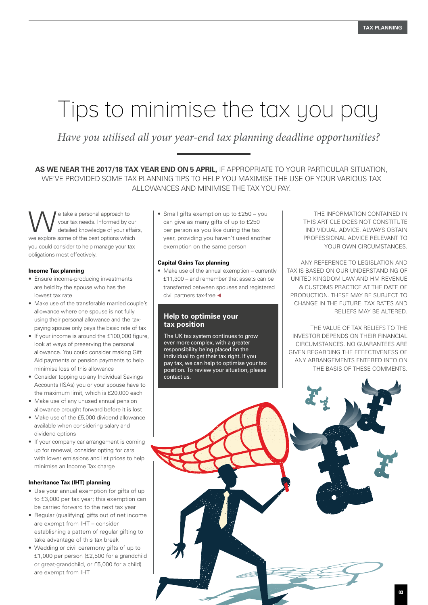### Tips to minimise the tax you pay

*Have you utilised all your year-end tax planning deadline opportunities?*

**AS WE NEAR THE 2017/18 TAX YEAR END ON 5 APRIL,** IF APPROPRIATE TO YOUR PARTICULAR SITUATION, WE'VE PROVIDED SOME TAX PLANNING TIPS TO HELP YOU MAXIMISE THE USE OF YOUR VARIOUS TAX ALLOWANCES AND MINIMISE THE TAX YOU PAY.

e take a personal approach to<br>
your tax needs. Informed by our<br>
detailed knowledge of your affairs, your tax needs. Informed by our we explore some of the best options which you could consider to help manage your tax obligations most effectively.

#### **Income Tax planning**

- Ensure income-producing investments are held by the spouse who has the lowest tax rate
- Make use of the transferable married couple's allowance where one spouse is not fully using their personal allowance and the taxpaying spouse only pays the basic rate of tax
- If your income is around the £100,000 figure, look at ways of preserving the personal allowance. You could consider making Gift Aid payments or pension payments to help minimise loss of this allowance
- Consider topping up any Individual Savings Accounts (ISAs) you or your spouse have to the maximum limit, which is £20,000 each
- Make use of any unused annual pension allowance brought forward before it is lost
- Make use of the £5,000 dividend allowance available when considering salary and dividend options
- If your company car arrangement is coming up for renewal, consider opting for cars with lower emissions and list prices to help minimise an Income Tax charge

#### **Inheritance Tax (IHT) planning**

- Use your annual exemption for gifts of up to £3,000 per tax year; this exemption can be carried forward to the next tax year
- Regular (qualifying) gifts out of net income are exempt from IHT – consider establishing a pattern of regular gifting to take advantage of this tax break
- Wedding or civil ceremony gifts of up to £1,000 per person (£2,500 for a grandchild or great-grandchild, or £5,000 for a child) are exempt from IHT

• Small gifts exemption up to £250 – you can give as many gifts of up to £250 per person as you like during the tax year, providing you haven't used another exemption on the same person

#### **Capital Gains Tax planning**

• Make use of the annual exemption – currently £11,300 – and remember that assets can be transferred between spouses and registered civil partners tax-free  $\blacktriangleleft$ 

#### **Help to optimise your tax position**

The UK tax system continues to grow ever more complex, with a greater responsibility being placed on the individual to get their tax right. If you pay tax, we can help to optimise your tax position. To review your situation, please contact us.

THE INFORMATION CONTAINED IN THIS ARTICLE DOES NOT CONSTITUTE INDIVIDUAL ADVICE. ALWAYS OBTAIN PROFESSIONAL ADVICE RELEVANT TO YOUR OWN CIRCUMSTANCES.

ANY REFERENCE TO LEGISLATION AND TAX IS BASED ON OUR UNDERSTANDING OF UNITED KINGDOM LAW AND HM REVENUE & CUSTOMS PRACTICE AT THE DATE OF PRODUCTION. THESE MAY BE SUBJECT TO CHANGE IN THE FUTURE. TAX RATES AND RELIEFS MAY BE ALTERED.

THE VALUE OF TAX RELIEFS TO THE INVESTOR DEPENDS ON THEIR FINANCIAL CIRCUMSTANCES. NO GUARANTEES ARE GIVEN REGARDING THE EFFECTIVENESS OF ANY ARRANGEMENTS ENTERED INTO ON THE BASIS OF THESE COMMENTS.

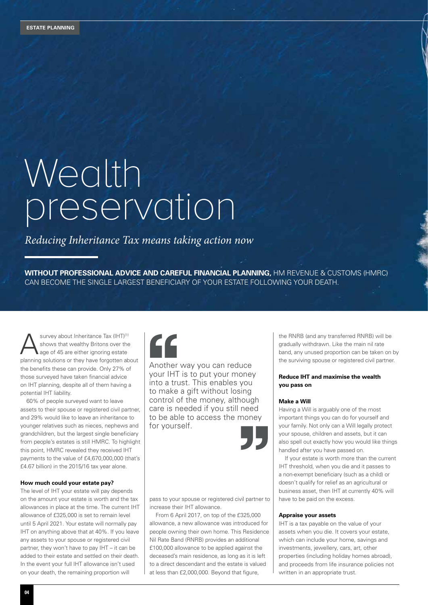# Wealth preservation

#### *Reducing Inheritance Tax means taking action now*

**WITHOUT PROFESSIONAL ADVICE AND CAREFUL FINANCIAL PLANNING,** HM REVENUE & CUSTOMS (HMRC) CAN BECOME THE SINGLE LARGEST BENEFICIARY OF YOUR ESTATE FOLLOWING YOUR DEATH.

Survey about Inheritance Tax (IHT)<sup>[1]</sup><br>Shows that wealthy Britons over the<br>age of 45 are either ignoring estate shows that wealthy Britons over the age of 45 are either ignoring estate planning solutions or they have forgotten about the benefits these can provide. Only 27% of those surveyed have taken financial advice on IHT planning, despite all of them having a potential IHT liability.

60% of people surveyed want to leave assets to their spouse or registered civil partner, and 29% would like to leave an inheritance to younger relatives such as nieces, nephews and grandchildren, but the largest single beneficiary from people's estates is still HMRC. To highlight this point, HMRC revealed they received IHT payments to the value of £4,670,000,000 (that's £4.67 billion) in the 2015/16 tax year alone.

#### **How much could your estate pay?**

The level of IHT your estate will pay depends on the amount your estate is worth and the tax allowances in place at the time. The current IHT allowance of £325,000 is set to remain level until 5 April 2021. Your estate will normally pay IHT on anything above that at 40%. If you leave any assets to your spouse or registered civil partner, they won't have to pay IHT – it can be added to their estate and settled on their death. In the event your full IHT allowance isn't used on your death, the remaining proportion will



Another way you can reduce your IHT is to put your money into a trust. This enables you to make a gift without losing control of the money, although care is needed if you still need to be able to access the money for yourself.



pass to your spouse or registered civil partner to increase their IHT allowance.

From 6 April 2017, on top of the £325,000 allowance, a new allowance was introduced for people owning their own home. This Residence Nil Rate Band (RNRB) provides an additional £100,000 allowance to be applied against the deceased's main residence, as long as it is left to a direct descendant and the estate is valued at less than £2,000,000. Beyond that figure,

the RNRB (and any transferred RNRB) will be gradually withdrawn. Like the main nil rate band, any unused proportion can be taken on by the surviving spouse or registered civil partner.

#### **Reduce IHT and maximise the wealth you pass on**

#### **Make a Will**

Having a Will is arguably one of the most important things you can do for yourself and your family. Not only can a Will legally protect your spouse, children and assets, but it can also spell out exactly how you would like things handled after you have passed on.

If your estate is worth more than the current IHT threshold, when you die and it passes to a non-exempt beneficiary (such as a child) or doesn't qualify for relief as an agricultural or business asset, then IHT at currently 40% will have to be paid on the excess.

#### **Appraise your assets**

IHT is a tax payable on the value of your assets when you die. It covers your estate, which can include your home, savings and investments, jewellery, cars, art, other properties (including holiday homes abroad), and proceeds from life insurance policies not written in an appropriate trust.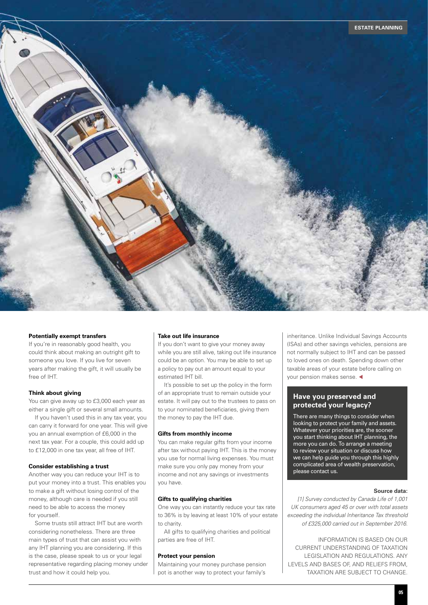

#### **Potentially exempt transfers**

If you're in reasonably good health, you could think about making an outright gift to someone you love. If you live for seven years after making the gift, it will usually be free of IHT.

#### **Think about giving**

You can give away up to £3,000 each year as either a single gift or several small amounts.

If you haven't used this in any tax year, you can carry it forward for one year. This will give you an annual exemption of £6,000 in the next tax year. For a couple, this could add up to £12,000 in one tax year, all free of IHT.

#### **Consider establishing a trust**

Another way you can reduce your IHT is to put your money into a trust. This enables you to make a gift without losing control of the money, although care is needed if you still need to be able to access the money for yourself.

Some trusts still attract IHT but are worth considering nonetheless. There are three main types of trust that can assist you with any IHT planning you are considering. If this is the case, please speak to us or your legal representative regarding placing money under trust and how it could help you.

#### **Take out life insurance**

If you don't want to give your money away while you are still alive, taking out life insurance could be an option. You may be able to set up a policy to pay out an amount equal to your estimated IHT bill.

It's possible to set up the policy in the form of an appropriate trust to remain outside your estate. It will pay out to the trustees to pass on to your nominated beneficiaries, giving them the money to pay the IHT due.

#### **Gifts from monthly income**

You can make regular gifts from your income after tax without paying IHT. This is the money you use for normal living expenses. You must make sure you only pay money from your income and not any savings or investments you have.

#### **Gifts to qualifying charities**

One way you can instantly reduce your tax rate to 36% is by leaving at least 10% of your estate to charity.

All gifts to qualifying charities and political parties are free of IHT.

#### **Protect your pension**

Maintaining your money purchase pension pot is another way to protect your family's

inheritance. Unlike Individual Savings Accounts (ISAs) and other savings vehicles, pensions are not normally subject to IHT and can be passed to loved ones on death. Spending down other taxable areas of your estate before calling on your pension makes sense.  $\triangleleft$ 

#### **Have you preserved and protected your legacy?**

There are many things to consider when looking to protect your family and assets. Whatever your priorities are, the sooner you start thinking about IHT planning, the more you can do. To arrange a meeting to review your situation or discuss how we can help guide you through this highly complicated area of wealth preservation, please contact us.

#### **Source data:**

*[1] Survey conducted by Canada Life of 1,001 UK consumers aged 45 or over with total assets exceeding the individual Inheritance Tax threshold of £325,000 carried out in September 2016.*

INFORMATION IS BASED ON OUR CURRENT UNDERSTANDING OF TAXATION LEGISLATION AND REGULATIONS. ANY LEVELS AND BASES OF, AND RELIEFS FROM, TAXATION ARE SUBJECT TO CHANGE.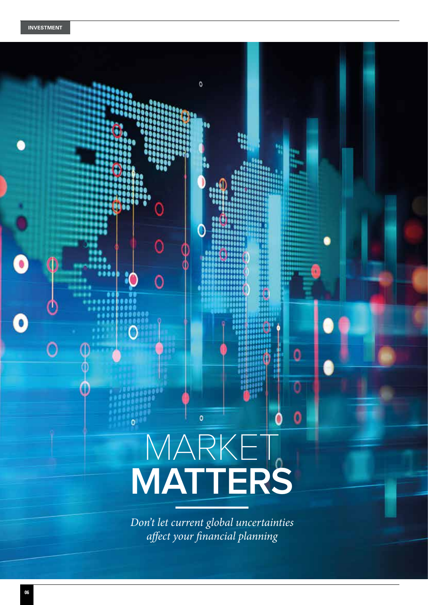# $\mathbf{o}$ O Ō 0 0 0 o MARKET **MATTERS***Don't let current global uncertainties affect your financial planning*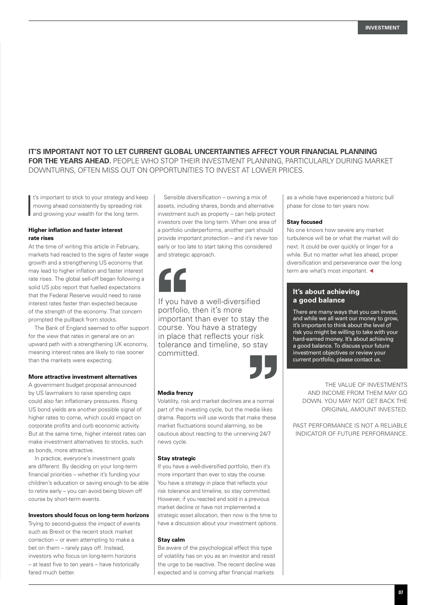#### **IT'S IMPORTANT NOT TO LET CURRENT GLOBAL UNCERTAINTIES AFFECT YOUR FINANCIAL PLANNING FOR THE YEARS AHEAD.** PEOPLE WHO STOP THEIR INVESTMENT PLANNING, PARTICULARLY DURING MARKET

DOWNTURNS, OFTEN MISS OUT ON OPPORTUNITIES TO INVEST AT LOWER PRICES.

It's important to stick to your strategy and kenoving ahead consistently by spreading risk<br>and growing your wealth for the long term. t's important to stick to your strategy and keep moving ahead consistently by spreading risk

#### **Higher inflation and faster interest rate rises**

At the time of writing this article in February, markets had reacted to the signs of faster wage growth and a strengthening US economy that may lead to higher inflation and faster interest rate rises. The global sell-off began following a solid US jobs report that fuelled expectations that the Federal Reserve would need to raise interest rates faster than expected because of the strength of the economy. That concern prompted the pullback from stocks.

The Bank of England seemed to offer support for the view that rates in general are on an upward path with a strengthening UK economy, meaning interest rates are likely to rise sooner than the markets were expecting.

#### **More attractive investment alternatives**

A government budget proposal announced by US lawmakers to raise spending caps could also fan inflationary pressures. Rising US bond yields are another possible signal of higher rates to come, which could impact on corporate profits and curb economic activity. But at the same time, higher interest rates can make investment alternatives to stocks, such as bonds, more attractive.

In practice, everyone's investment goals are different. By deciding on your long-term financial priorities – whether it's funding your children's education or saving enough to be able to retire early – you can avoid being blown off course by short-term events.

#### **Investors should focus on long-term horizons**

Trying to second-guess the impact of events such as Brexit or the recent stock market correction – or even attempting to make a bet on them – rarely pays off. Instead, investors who focus on long-term horizons – at least five to ten years – have historically fared much better.

Sensible diversification – owning a mix of assets, including shares, bonds and alternative investment such as property – can help protect investors over the long term. When one area of a portfolio underperforms, another part should provide important protection – and it's never too early or too late to start taking this considered and strategic approach.



If you have a well-diversified portfolio, then it's more important than ever to stay the course. You have a strategy in place that reflects your risk tolerance and timeline, so stay committed.



#### **Media frenzy**

Volatility, risk and market declines are a normal part of the investing cycle, but the media likes drama. Reports will use words that make these market fluctuations sound alarming, so be cautious about reacting to the unnerving 24/7 news cycle.

#### **Stay strategic**

If you have a well-diversified portfolio, then it's more important than ever to stay the course. You have a strategy in place that reflects your risk tolerance and timeline, so stay committed. However, if you reacted and sold in a previous market decline or have not implemented a strategic asset allocation, then now is the time to have a discussion about your investment options.

#### **Stay calm**

Be aware of the psychological effect this type of volatility has on you as an investor and resist the urge to be reactive. The recent decline was expected and is coming after financial markets

as a whole have experienced a historic bull phase for close to ten years now.

#### **Stay focused**

No one knows how severe any market turbulence will be or what the market will do next. It could be over quickly or linger for a while. But no matter what lies ahead, proper diversification and perseverance over the long term are what's most important.  $\blacktriangleleft$ 

#### **It's about achieving a good balance**

There are many ways that you can invest, and while we all want our money to grow, it's important to think about the level of risk you might be willing to take with your hard-earned money. It's about achieving a good balance. To discuss your future investment objectives or review your current portfolio, please contact us.

THE VALUE OF INVESTMENTS AND INCOME FROM THEM MAY GO DOWN. YOU MAY NOT GET BACK THE ORIGINAL AMOUNT INVESTED.

PAST PERFORMANCE IS NOT A RELIABLE INDICATOR OF FUTURE PERFORMANCE.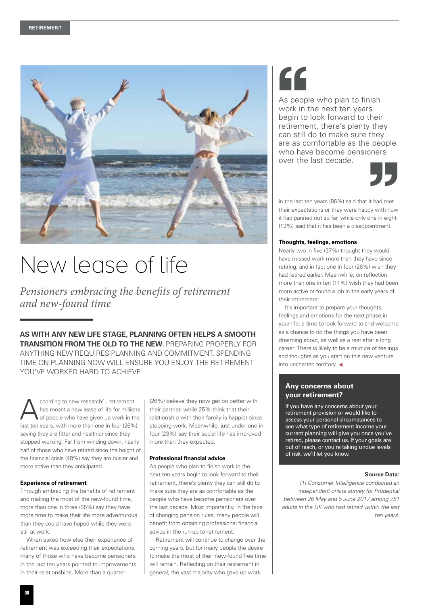

# New lease of life

*Pensioners embracing the benefits of retirement and new-found time*

**AS WITH ANY NEW LIFE STAGE, PLANNING OFTEN HELPS A SMOOTH TRANSITION FROM THE OLD TO THE NEW.** PREPARING PROPERLY FOR ANYTHING NEW REQUIRES PLANNING AND COMMITMENT. SPENDING TIME ON PLANNING NOW WILL ENSURE YOU ENJOY THE RETIREMENT YOU'VE WORKED HARD TO ACHIEVE.

Coording to new research<sup>[1]</sup>, retirement<br>has meant a new lease of life for million<br>of people who have given up work in the has meant a new lease of life for millions of people who have given up work in the last ten years, with more than one in four (26%) saying they are fitter and healthier since they stopped working. Far from winding down, nearly half of those who have retired since the height of the financial crisis (48%) say they are busier and more active than they anticipated.

#### **Experience of retirement**

Through embracing the benefits of retirement and making the most of the new-found time, more than one in three (35%) say they have more time to make their life more adventurous than they could have hoped while they were still at work.

When asked how else their experience of retirement was exceeding their expectations, many of those who have become pensioners in the last ten years pointed to improvements in their relationships. More than a quarter

(26%) believe they now get on better with their partner, while 25% think that their relationship with their family is happier since stopping work. Meanwhile, just under one in four (23%) say their social life has improved more than they expected.

#### **Professional financial advice**

As people who plan to finish work in the next ten years begin to look forward to their retirement, there's plenty they can still do to make sure they are as comfortable as the people who have become pensioners over the last decade. Most importantly, in the face of changing pension rules, many people will benefit from obtaining professional financial advice in the run-up to retirement.

Retirement will continue to change over the coming years, but for many people the desire to make the most of their new-found free time will remain. Reflecting on their retirement in general, the vast majority who gave up work

# 66

As people who plan to finish work in the next ten years begin to look forward to their retirement, there's plenty they can still do to make sure they are as comfortable as the people who have become pensioners over the last decade.



in the last ten years (86%) said that it had met their expectations or they were happy with how it had panned out so far, while only one in eight (13%) said that it has been a disappointment.

#### **Thoughts, feelings, emotions**

Nearly two in five (37%) thought they would have missed work more than they have since retiring, and in fact one in four (26%) wish they had retired earlier. Meanwhile, on reflection, more than one in ten (11%) wish they had been more active or found a job in the early years of their retirement.

It's important to prepare your thoughts, feelings and emotions for the next phase in your life: a time to look forward to and welcome as a chance to do the things you have been dreaming about, as well as a rest after a long career. There is likely to be a mixture of feelings and thoughts as you start on this new venture into uncharted territory.  $\blacktriangleleft$ 

#### **Any concerns about your retirement?**

If you have any concerns about your retirement provision or would like to assess your personal circumstances to see what type of retirement income your current planning will give you once you've retired, please contact us. If your goals are out of reach, or you're taking undue levels of risk, we'll let you know.

#### **Source Data:**

*[1] Consumer Intelligence conducted an independent online survey for Prudential between 26 May and 5 June 2017 among 751 adults in the UK who had retired within the last ten years.*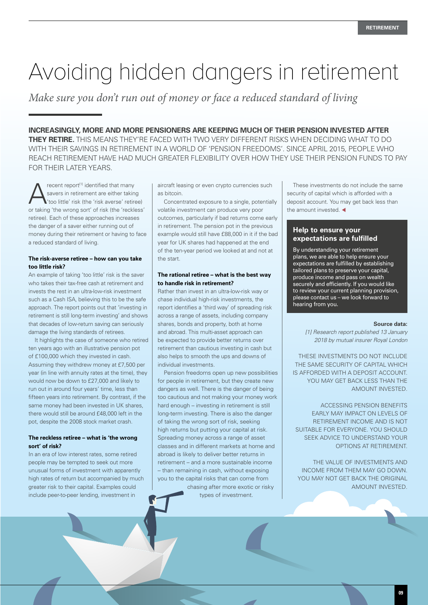# Avoiding hidden dangers in retirement

*Make sure you don't run out of money or face a reduced standard of living*

**INCREASINGLY, MORE AND MORE PENSIONERS ARE KEEPING MUCH OF THEIR PENSION INVESTED AFTER THEY RETIRE.** THIS MEANS THEY'RE FACED WITH TWO VERY DIFFERENT RISKS WHEN DECIDING WHAT TO DO WITH THEIR SAVINGS IN RETIREMENT IN A WORLD OF 'PENSION FREEDOMS'. SINCE APRIL 2015, PEOPLE WHO REACH RETIREMENT HAVE HAD MUCH GREATER FLEXIBILITY OVER HOW THEY USE THEIR PENSION FUNDS TO PAY FOR THEIR LATER YEARS.

recent report<sup>[1]</sup> identified that many savers in retirement are either taking 'too little' risk (the 'risk averse' retiree) or taking 'the wrong sort' of risk (the 'reckless' retiree). Each of these approaches increases the danger of a saver either running out of money during their retirement or having to face a reduced standard of living.

#### **The risk-averse retiree – how can you take too little risk?**

An example of taking 'too little' risk is the saver who takes their tax-free cash at retirement and invests the rest in an ultra-low-risk investment such as a Cash ISA, believing this to be the safe approach. The report points out that 'investing in retirement is still long-term investing' and shows that decades of low-return saving can seriously damage the living standards of retirees.

It highlights the case of someone who retired ten years ago with an illustrative pension pot of £100,000 which they invested in cash. Assuming they withdrew money at £7,500 per year (in line with annuity rates at the time), they would now be down to £27,000 and likely to run out in around four years' time, less than fifteen years into retirement. By contrast, if the same money had been invested in UK shares, there would still be around £48,000 left in the pot, despite the 2008 stock market crash.

#### **The reckless retiree – what is 'the wrong sort' of risk?**

In an era of low interest rates, some retired people may be tempted to seek out more unusual forms of investment with apparently high rates of return but accompanied by much greater risk to their capital. Examples could include peer-to-peer lending, investment in

aircraft leasing or even crypto currencies such as bitcoin.

Concentrated exposure to a single, potentially volatile investment can produce very poor outcomes, particularly if bad returns come early in retirement. The pension pot in the previous example would still have £88,000 in it if the bad year for UK shares had happened at the end of the ten-year period we looked at and not at the start.

#### **The rational retiree – what is the best way to handle risk in retirement?**

Rather than invest in an ultra-low-risk way or chase individual high-risk investments, the report identifies a 'third way' of spreading risk across a range of assets, including company shares, bonds and property, both at home and abroad. This multi-asset approach can be expected to provide better returns over retirement than cautious investing in cash but also helps to smooth the ups and downs of individual investments.

Pension freedoms open up new possibilities for people in retirement, but they create new dangers as well. There is the danger of being too cautious and not making your money work hard enough – investing in retirement is still long-term investing. There is also the danger of taking the wrong sort of risk, seeking high returns but putting your capital at risk. Spreading money across a range of asset classes and in different markets at home and abroad is likely to deliver better returns in retirement – and a more sustainable income – than remaining in cash, without exposing you to the capital risks that can come from chasing after more exotic or risky

types of investment.

These investments do not include the same security of capital which is afforded with a deposit account. You may get back less than the amount invested.  $\blacktriangleleft$ 

#### **Help to ensure your expectations are fulfilled**

By understanding your retirement plans, we are able to help ensure your expectations are fulfilled by establishing tailored plans to preserve your capital, produce income and pass on wealth securely and efficiently. If you would like to review your current planning provision, please contact us – we look forward to hearing from you.

#### **Source data:**

*[1] Research report published 13 January 2018 by mutual insurer Royal London*

THESE INVESTMENTS DO NOT INCLUDE THE SAME SECURITY OF CAPITAL WHICH IS AFFORDED WITH A DEPOSIT ACCOUNT. YOU MAY GET BACK LESS THAN THE AMOUNT INVESTED.

ACCESSING PENSION BENEFITS EARLY MAY IMPACT ON LEVELS OF RETIREMENT INCOME AND IS NOT SUITABLE FOR EVERYONE. YOU SHOULD SEEK ADVICE TO UNDERSTAND YOUR OPTIONS AT RETIREMENT.

THE VALUE OF INVESTMENTS AND INCOME FROM THEM MAY GO DOWN. YOU MAY NOT GFT BACK THE ORIGINAL AMOUNT INVESTED.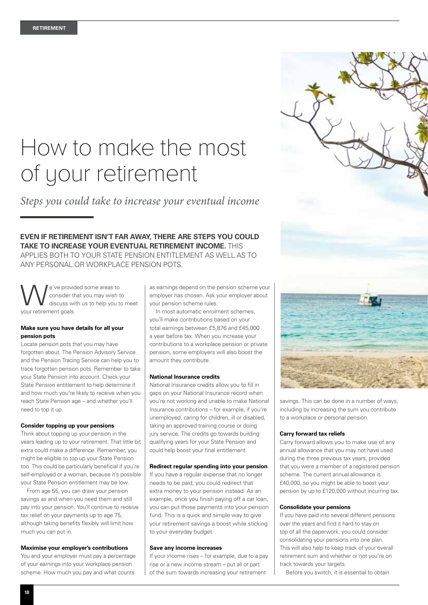## How to make the most of your retirement

*Steps you could take to increase your eventual income*

**EVEN IF RETIREMENT ISN'T FAR AWAY, THERE ARE STEPS YOU COULD TAKE TO INCREASE YOUR EVENTUAL RETIREMENT INCOME.** THIS APPLIES BOTH TO YOUR STATE PENSION ENTITLEMENT AS WELL AS TO ANY PERSONAL OR WORKPLACE PENSION POTS.

e've provided some areas to<br>consider that you may wish the discuss with us to help you to consider that you may wish to discuss with us to help you to meet your retirement goals.

#### **Make sure you have details for all your pension pots**

Locate pension pots that you may have forgotten about. The Pension Advisory Service and the Pension Tracing Service can help you to trace forgotten pension pots. Remember to take your State Pension into account. Check your State Pension entitlement to help determine if and how much you're likely to receive when you reach State Pension age – and whether you'll need to top it up.

#### **Consider topping up your pensions**

Think about topping up your pension in the years leading up to your retirement. That little bit extra could make a difference. Remember, you might be eligible to top up your State Pension too. This could be particularly beneficial if you're self-employed or a woman, because it's possible your State Pension entitlement may be low.

From age 55, you can draw your pension savings as and when you need them and still pay into your pension. You'll continue to receive tax relief on your payments up to age 75, although taking benefits flexibly will limit how much you can put in.

#### **Maximise your employer's contributions**

You and your employer must pay a percentage of your earnings into your workplace pension scheme. How much you pay and what counts

as earnings depend on the pension scheme your employer has chosen. Ask your employer about your pension scheme rules.

In most automatic enrolment schemes, you'll make contributions based on your total earnings between £5,876 and £45,000 a year before tax. When you increase your contributions to a workplace pension or private pension, some employers will also boost the amount they contribute.

#### **National Insurance credits**

National Insurance credits allow you to fill in gaps on your National Insurance record when you're not working and unable to make National Insurance contributions – for example, if you're unemployed, caring for children, ill or disabled, taking an approved training course or doing jury service. The credits go towards building qualifying years for your State Pension and could help boost your final entitlement.

#### **Redirect regular spending into your pension**

If you have a regular expense that no longer needs to be paid, you could redirect that extra money to your pension instead. As an example, once you finish paying off a car loan, you can put those payments into your pension fund. This is a quick and simple way to give your retirement savings a boost while sticking to your everyday budget.

#### **Save any income increases**

If your income rises – for example, due to a pay rise or a new income stream – put all or part of the sum towards increasing your retirement



savings. This can be done in a number of ways, including by increasing the sum you contribute to a workplace or personal pension.

#### **Carry forward tax reliefs**

Carry forward allows you to make use of any annual allowance that you may not have used during the three previous tax years, provided that you were a member of a registered pension scheme. The current annual allowance is £40,000, so you might be able to boost your pension by up to £120,000 without incurring tax.

#### **Consolidate your pensions**

If you have paid into several different pensions over the years and find it hard to stay on top of all the paperwork, you could consider consolidating your pensions into one plan. This will also help to keep track of your overall retirement sum and whether or not you're on track towards your targets.

Before you switch, it is essential to obtain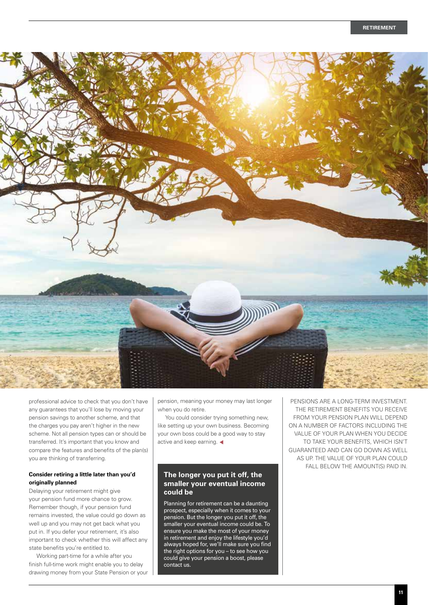

professional advice to check that you don't have any guarantees that you'll lose by moving your pension savings to another scheme, and that the charges you pay aren't higher in the new scheme. Not all pension types can or should be transferred. It's important that you know and compare the features and benefits of the plan(s) you are thinking of transferring.

#### **Consider retiring a little later than you'd originally planned**

Delaying your retirement might give your pension fund more chance to grow. Remember though, if your pension fund remains invested, the value could go down as well up and you may not get back what you put in. If you defer your retirement, it's also important to check whether this will affect any state benefits you're entitled to.

 Working part-time for a while after you finish full-time work might enable you to delay drawing money from your State Pension or your

pension, meaning your money may last longer when you do retire.

 You could consider trying something new, like setting up your own business. Becoming your own boss could be a good way to stay active and keep earning.  $\blacktriangleleft$ 

#### **The longer you put it off, the smaller your eventual income could be**

Planning for retirement can be a daunting prospect, especially when it comes to your pension. But the longer you put it off, the smaller your eventual income could be. To ensure you make the most of your money in retirement and enjoy the lifestyle you'd always hoped for, we'll make sure you find the right options for you – to see how you could give your pension a boost, please contact us.

PENSIONS ARE A LONG-TERM INVESTMENT. THE RETIREMENT BENEFITS YOU RECEIVE FROM YOUR PENSION PLAN WILL DEPEND ON A NUMBER OF FACTORS INCLUDING THE VALUE OF YOUR PLAN WHEN YOU DECIDE TO TAKE YOUR BENEFITS, WHICH ISN'T GUARANTEED AND CAN GO DOWN AS WELL AS UP. THE VALUE OF YOUR PLAN COULD FALL BELOW THE AMOUNT(S) PAID IN.